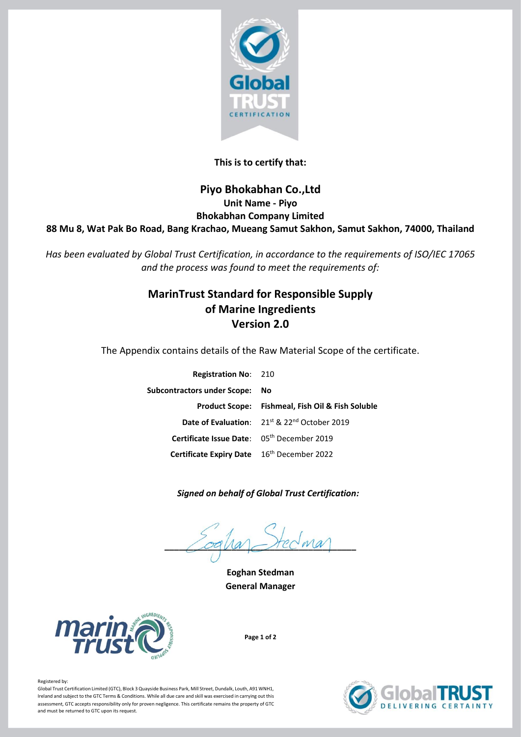

## **This is to certify that:**

## **Piyo Bhokabhan Co.,Ltd Unit Name - Piyo Bhokabhan Company Limited 88 Mu 8, Wat Pak Bo Road, Bang Krachao, Mueang Samut Sakhon, Samut Sakhon, 74000, Thailand**

*Has been evaluated by Global Trust Certification, in accordance to the requirements of ISO/IEC 17065 and the process was found to meet the requirements of:*

# **MarinTrust Standard for Responsible Supply of Marine Ingredients Version 2.0**

The Appendix contains details of the Raw Material Scope of the certificate.

| <b>Registration No: 210</b>                |                                                             |
|--------------------------------------------|-------------------------------------------------------------|
| Subcontractors under Scope: No             |                                                             |
|                                            | <b>Product Scope: Fishmeal, Fish Oil &amp; Fish Soluble</b> |
|                                            | Date of Evaluation: 21st & 22nd October 2019                |
| Certificate Issue Date: 05th December 2019 |                                                             |
| Certificate Expiry Date 16th December 2022 |                                                             |

 *Signed on behalf of Global Trust Certification:*

 $\bigcap$   $\bigcap$   $\bigcap$   $\bigcap$   $\bigcap$   $\bigcap$   $\bigcap$   $\bigcap$   $\bigcap$   $\bigcap$   $\bigcap$   $\bigcap$ 

**Eoghan Stedman General Manager**



**Page 1 of 2**



### Registered by:

Global Trust Certification Limited (GTC), Block 3 Quayside Business Park, Mill Street, Dundalk, Louth, A91 WNH1, Ireland and subject to the GTC Terms & Conditions. While all due care and skill was exercised in carrying out this assessment, GTC accepts responsibility only for proven negligence. This certificate remains the property of GTC and must be returned to GTC upon its request.